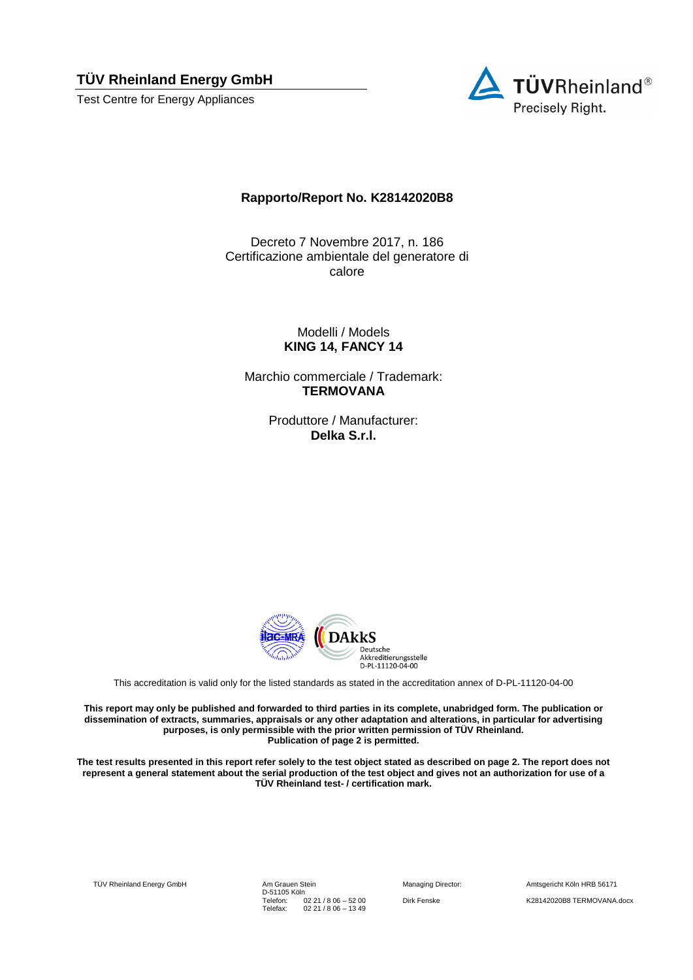**TÜV Rheinland Energy GmbH** 

Test Centre for Energy Appliances



## **Rapporto/Report No. K28142020B8**

Decreto 7 Novembre 2017, n. 186 Certificazione ambientale del generatore di calore

> Modelli / Models **KING 14, FANCY 14**

Marchio commerciale / Trademark: **TERMOVANA** 

> Produttore / Manufacturer: **Delka S.r.l.**



This accreditation is valid only for the listed standards as stated in the accreditation annex of D-PL-11120-04-00

**This report may only be published and forwarded to third parties in its complete, unabridged form. The publication or dissemination of extracts, summaries, appraisals or any other adaptation and alterations, in particular for advertising purposes, is only permissible with the prior written permission of TÜV Rheinland. Publication of page 2 is permitted.**

**The test results presented in this report refer solely to the test object stated as described on page 2. The report does not represent a general statement about the serial production of the test object and gives not an authorization for use of a TÜV Rheinland test- / certification mark.**

TÜV Rheinland Energy GmbH Am Grauen Stein

D-51105 Köln Telefon: Telefax: 02 21 / 8 06 – 52 00 02 21 / 8 06 – 13 49

Managing Director: Amtsgericht Köln HRB 56171

Dirk Fenske K28142020B8 TERMOVANA.docx